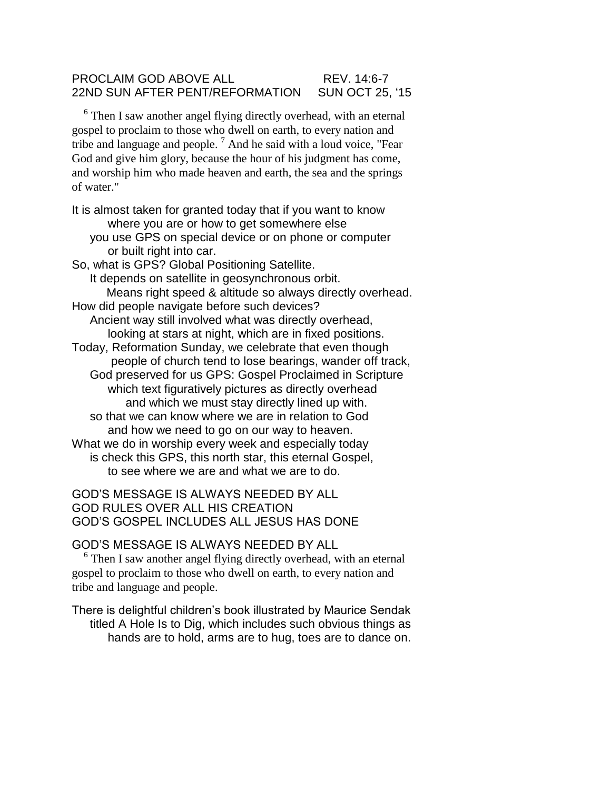## PROCLAIM GOD ABOVE ALL REV. 14:6-7 22ND SUN AFTER PENT/REFORMATION SUN OCT 25, '15

<sup>6</sup> Then I saw another angel flying directly overhead, with an eternal gospel to proclaim to those who dwell on earth, to every nation and tribe and language and people.<sup>7</sup> And he said with a loud voice, "Fear God and give him glory, because the hour of his judgment has come, and worship him who made heaven and earth, the sea and the springs of water."

It is almost taken for granted today that if you want to know where you are or how to get somewhere else you use GPS on special device or on phone or computer or built right into car. So, what is GPS? Global Positioning Satellite. It depends on satellite in geosynchronous orbit. Means right speed & altitude so always directly overhead. How did people navigate before such devices? Ancient way still involved what was directly overhead, looking at stars at night, which are in fixed positions.

Today, Reformation Sunday, we celebrate that even though people of church tend to lose bearings, wander off track, God preserved for us GPS: Gospel Proclaimed in Scripture which text figuratively pictures as directly overhead and which we must stay directly lined up with. so that we can know where we are in relation to God

and how we need to go on our way to heaven. What we do in worship every week and especially today is check this GPS, this north star, this eternal Gospel, to see where we are and what we are to do.

## GOD'S MESSAGE IS ALWAYS NEEDED BY ALL GOD RULES OVER ALL HIS CREATION GOD'S GOSPEL INCLUDES ALL JESUS HAS DONE

GOD'S MESSAGE IS ALWAYS NEEDED BY ALL

<sup>6</sup> Then I saw another angel flying directly overhead, with an eternal gospel to proclaim to those who dwell on earth, to every nation and tribe and language and people.

There is delightful children's book illustrated by Maurice Sendak titled A Hole Is to Dig, which includes such obvious things as hands are to hold, arms are to hug, toes are to dance on.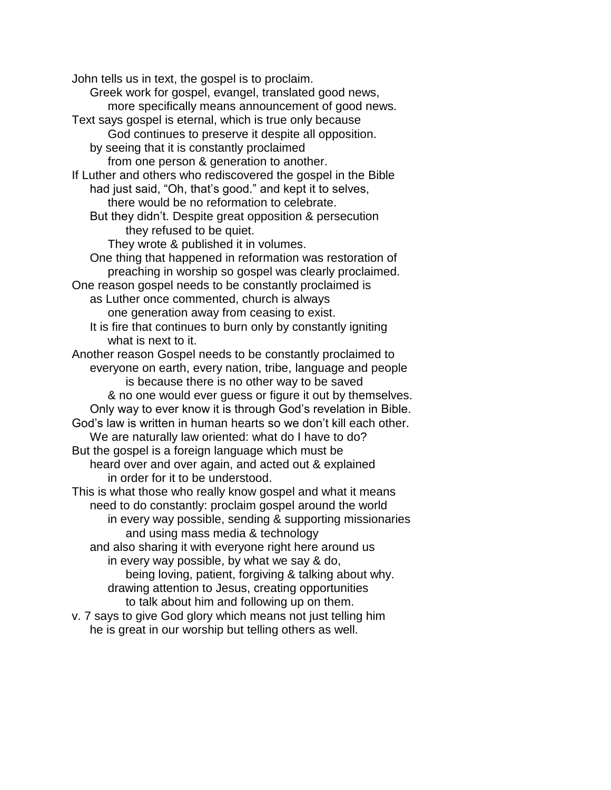John tells us in text, the gospel is to proclaim. Greek work for gospel, evangel, translated good news, more specifically means announcement of good news. Text says gospel is eternal, which is true only because God continues to preserve it despite all opposition. by seeing that it is constantly proclaimed from one person & generation to another. If Luther and others who rediscovered the gospel in the Bible had just said, "Oh, that's good." and kept it to selves, there would be no reformation to celebrate. But they didn't. Despite great opposition & persecution they refused to be quiet. They wrote & published it in volumes. One thing that happened in reformation was restoration of preaching in worship so gospel was clearly proclaimed. One reason gospel needs to be constantly proclaimed is as Luther once commented, church is always one generation away from ceasing to exist. It is fire that continues to burn only by constantly igniting what is next to it. Another reason Gospel needs to be constantly proclaimed to everyone on earth, every nation, tribe, language and people is because there is no other way to be saved & no one would ever guess or figure it out by themselves. Only way to ever know it is through God's revelation in Bible. God's law is written in human hearts so we don't kill each other. We are naturally law oriented: what do I have to do? But the gospel is a foreign language which must be heard over and over again, and acted out & explained in order for it to be understood. This is what those who really know gospel and what it means need to do constantly: proclaim gospel around the world in every way possible, sending & supporting missionaries and using mass media & technology and also sharing it with everyone right here around us in every way possible, by what we say & do, being loving, patient, forgiving & talking about why. drawing attention to Jesus, creating opportunities to talk about him and following up on them. v. 7 says to give God glory which means not just telling him he is great in our worship but telling others as well.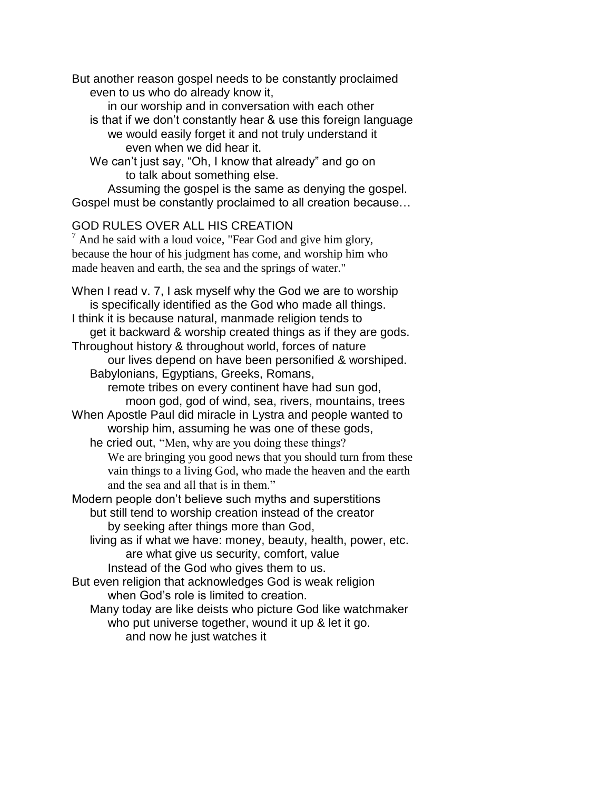But another reason gospel needs to be constantly proclaimed even to us who do already know it,

in our worship and in conversation with each other is that if we don't constantly hear & use this foreign language we would easily forget it and not truly understand it even when we did hear it.

We can't just say, "Oh, I know that already" and go on to talk about something else.

Assuming the gospel is the same as denying the gospel. Gospel must be constantly proclaimed to all creation because…

## GOD RULES OVER ALL HIS CREATION

 $<sup>7</sup>$  And he said with a loud voice, "Fear God and give him glory,</sup> because the hour of his judgment has come, and worship him who made heaven and earth, the sea and the springs of water."

When I read v. 7, I ask myself why the God we are to worship is specifically identified as the God who made all things. I think it is because natural, manmade religion tends to get it backward & worship created things as if they are gods. Throughout history & throughout world, forces of nature our lives depend on have been personified & worshiped. Babylonians, Egyptians, Greeks, Romans, remote tribes on every continent have had sun god, moon god, god of wind, sea, rivers, mountains, trees When Apostle Paul did miracle in Lystra and people wanted to worship him, assuming he was one of these gods, he cried out, "Men, why are you doing these things? We are bringing you good news that you should turn from these vain things to a living God, who made the heaven and the earth and the sea and all that is in them." Modern people don't believe such myths and superstitions but still tend to worship creation instead of the creator by seeking after things more than God, living as if what we have: money, beauty, health, power, etc. are what give us security, comfort, value Instead of the God who gives them to us. But even religion that acknowledges God is weak religion when God's role is limited to creation. Many today are like deists who picture God like watchmaker

who put universe together, wound it up & let it go. and now he just watches it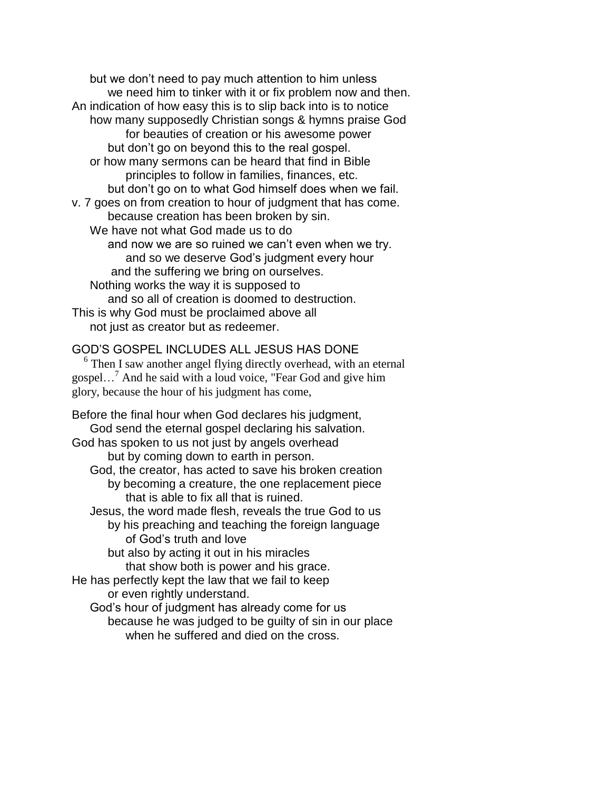but we don't need to pay much attention to him unless we need him to tinker with it or fix problem now and then. An indication of how easy this is to slip back into is to notice how many supposedly Christian songs & hymns praise God for beauties of creation or his awesome power but don't go on beyond this to the real gospel. or how many sermons can be heard that find in Bible principles to follow in families, finances, etc. but don't go on to what God himself does when we fail. v. 7 goes on from creation to hour of judgment that has come. because creation has been broken by sin. We have not what God made us to do and now we are so ruined we can't even when we try. and so we deserve God's judgment every hour and the suffering we bring on ourselves. Nothing works the way it is supposed to and so all of creation is doomed to destruction. This is why God must be proclaimed above all not just as creator but as redeemer.

## GOD'S GOSPEL INCLUDES ALL JESUS HAS DONE

<sup>6</sup> Then I saw another angel flying directly overhead, with an eternal gospel…<sup>7</sup> And he said with a loud voice, "Fear God and give him glory, because the hour of his judgment has come,

Before the final hour when God declares his judgment, God send the eternal gospel declaring his salvation. God has spoken to us not just by angels overhead but by coming down to earth in person. God, the creator, has acted to save his broken creation by becoming a creature, the one replacement piece that is able to fix all that is ruined. Jesus, the word made flesh, reveals the true God to us by his preaching and teaching the foreign language of God's truth and love but also by acting it out in his miracles that show both is power and his grace. He has perfectly kept the law that we fail to keep or even rightly understand.

God's hour of judgment has already come for us because he was judged to be guilty of sin in our place when he suffered and died on the cross.